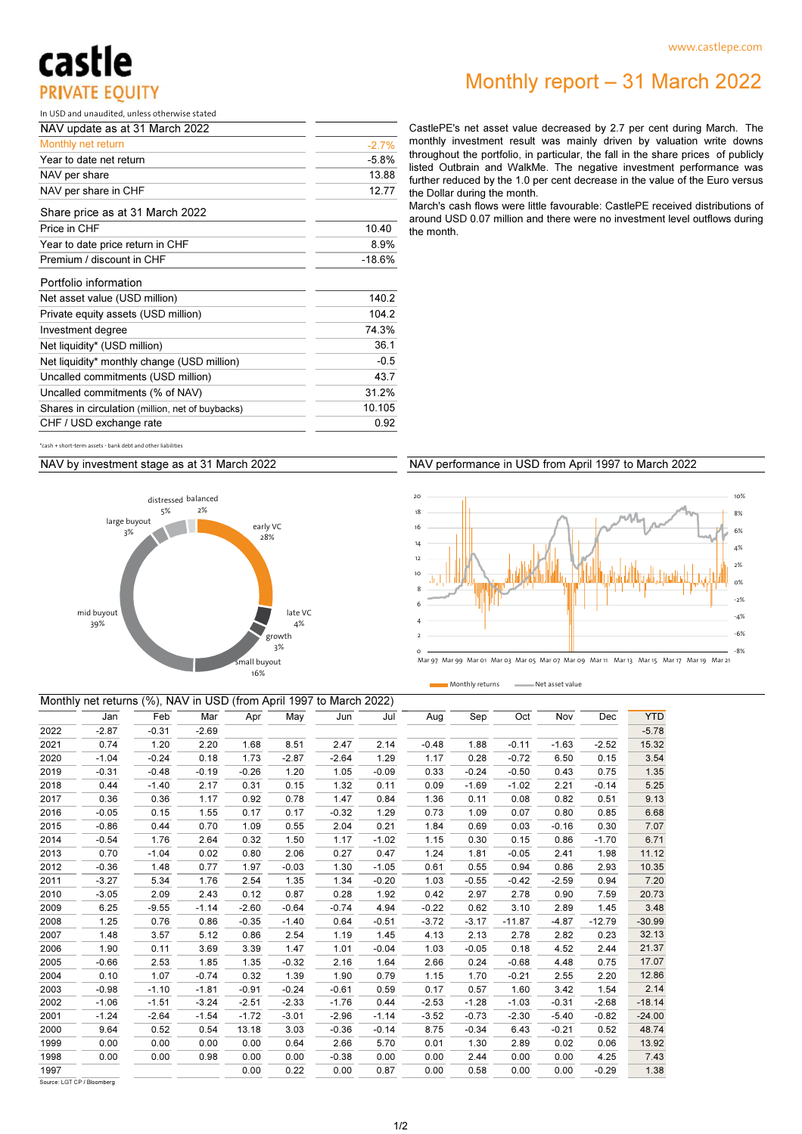## castle **PRIVATE EQUITY**

### Monthly report – 31 March 2022

In USD and unaudited, unless otherwise stated

| NAV update as at 31 March 2022                   |         |
|--------------------------------------------------|---------|
| Monthly net return                               | $-2.7%$ |
| Year to date net return                          | $-5.8%$ |
| NAV per share                                    | 13.88   |
| NAV per share in CHF                             | 12.77   |
| Share price as at 31 March 2022                  |         |
| Price in CHF                                     | 10.40   |
| Year to date price return in CHF                 | 8.9%    |
| Premium / discount in CHF                        | -18.6%  |
| Portfolio information                            |         |
| Net asset value (USD million)                    | 140.2   |
| Private equity assets (USD million)              | 104.2   |
| Investment degree                                | 74.3%   |
| Net liquidity* (USD million)                     | 36.1    |
| Net liquidity* monthly change (USD million)      | $-0.5$  |
| Uncalled commitments (USD million)               | 43.7    |
| Uncalled commitments (% of NAV)                  | 31.2%   |
| Shares in circulation (million, net of buybacks) | 10.105  |
| CHF / USD exchange rate                          | 0.92    |

CastlePE's net asset value decreased by 2.7 per cent during March. The monthly investment result was mainly driven by valuation write downs throughout the portfolio, in particular, the fall in the share prices of publicly listed Outbrain and WalkMe. The negative investment performance was further reduced by the 1.0 per cent decrease in the value of the Euro versus the Dollar during the month.

March's cash flows were little favourable: CastlePE received distributions of around USD 0.07 million and there were no investment level outflows during the month.

 $+$  short-term assets - bank debt and other liabilit

NAV by investment stage as at 31 March 2022



#### NAV performance in USD from April 1997 to March 2022

Monthly returns - Net asset value



|      | Monthly net returns (%), NAV in USD (from April 1997 to March 2022) |         |         |         |         |         |         |         |         |          |         |          |            |
|------|---------------------------------------------------------------------|---------|---------|---------|---------|---------|---------|---------|---------|----------|---------|----------|------------|
|      | Jan                                                                 | Feb     | Mar     | Apr     | May     | Jun     | Jul     | Aug     | Sep     | Oct      | Nov     | Dec      | <b>YTD</b> |
| 2022 | $-2.87$                                                             | $-0.31$ | $-2.69$ |         |         |         |         |         |         |          |         |          | $-5.78$    |
| 2021 | 0.74                                                                | 1.20    | 2.20    | 1.68    | 8.51    | 2.47    | 2.14    | $-0.48$ | 1.88    | $-0.11$  | $-1.63$ | $-2.52$  | 15.32      |
| 2020 | $-1.04$                                                             | $-0.24$ | 0.18    | 1.73    | $-2.87$ | $-2.64$ | 1.29    | 1.17    | 0.28    | $-0.72$  | 6.50    | 0.15     | 3.54       |
| 2019 | $-0.31$                                                             | $-0.48$ | $-0.19$ | $-0.26$ | 1.20    | 1.05    | $-0.09$ | 0.33    | $-0.24$ | $-0.50$  | 0.43    | 0.75     | 1.35       |
| 2018 | 0.44                                                                | $-1.40$ | 2.17    | 0.31    | 0.15    | 1.32    | 0.11    | 0.09    | $-1.69$ | $-1.02$  | 2.21    | $-0.14$  | 5.25       |
| 2017 | 0.36                                                                | 0.36    | 1.17    | 0.92    | 0.78    | 1.47    | 0.84    | 1.36    | 0.11    | 0.08     | 0.82    | 0.51     | 9.13       |
| 2016 | $-0.05$                                                             | 0.15    | 1.55    | 0.17    | 0.17    | $-0.32$ | 1.29    | 0.73    | 1.09    | 0.07     | 0.80    | 0.85     | 6.68       |
| 2015 | $-0.86$                                                             | 0.44    | 0.70    | 1.09    | 0.55    | 2.04    | 0.21    | 1.84    | 0.69    | 0.03     | $-0.16$ | 0.30     | 7.07       |
| 2014 | $-0.54$                                                             | 1.76    | 2.64    | 0.32    | 1.50    | 1.17    | $-1.02$ | 1.15    | 0.30    | 0.15     | 0.86    | $-1.70$  | 6.71       |
| 2013 | 0.70                                                                | $-1.04$ | 0.02    | 0.80    | 2.06    | 0.27    | 0.47    | 1.24    | 1.81    | $-0.05$  | 2.41    | 1.98     | 11.12      |
| 2012 | $-0.36$                                                             | 1.48    | 0.77    | 1.97    | $-0.03$ | 1.30    | $-1.05$ | 0.61    | 0.55    | 0.94     | 0.86    | 2.93     | 10.35      |
| 2011 | $-3.27$                                                             | 5.34    | 1.76    | 2.54    | 1.35    | 1.34    | $-0.20$ | 1.03    | $-0.55$ | $-0.42$  | $-2.59$ | 0.94     | 7.20       |
| 2010 | $-3.05$                                                             | 2.09    | 2.43    | 0.12    | 0.87    | 0.28    | 1.92    | 0.42    | 2.97    | 2.78     | 0.90    | 7.59     | 20.73      |
| 2009 | 6.25                                                                | $-9.55$ | $-1.14$ | $-2.60$ | $-0.64$ | $-0.74$ | 4.94    | $-0.22$ | 0.62    | 3.10     | 2.89    | 1.45     | 3.48       |
| 2008 | 1.25                                                                | 0.76    | 0.86    | $-0.35$ | $-1.40$ | 0.64    | $-0.51$ | $-3.72$ | $-3.17$ | $-11.87$ | $-4.87$ | $-12.79$ | $-30.99$   |
| 2007 | 1.48                                                                | 3.57    | 5.12    | 0.86    | 2.54    | 1.19    | 1.45    | 4.13    | 2.13    | 2.78     | 2.82    | 0.23     | 32.13      |
| 2006 | 1.90                                                                | 0.11    | 3.69    | 3.39    | 1.47    | 1.01    | $-0.04$ | 1.03    | $-0.05$ | 0.18     | 4.52    | 2.44     | 21.37      |
| 2005 | $-0.66$                                                             | 2.53    | 1.85    | 1.35    | $-0.32$ | 2.16    | 1.64    | 2.66    | 0.24    | $-0.68$  | 4.48    | 0.75     | 17.07      |
| 2004 | 0.10                                                                | 1.07    | $-0.74$ | 0.32    | 1.39    | 1.90    | 0.79    | 1.15    | 1.70    | $-0.21$  | 2.55    | 2.20     | 12.86      |
| 2003 | $-0.98$                                                             | $-1.10$ | $-1.81$ | $-0.91$ | $-0.24$ | $-0.61$ | 0.59    | 0.17    | 0.57    | 1.60     | 3.42    | 1.54     | 2.14       |
| 2002 | $-1.06$                                                             | $-1.51$ | $-3.24$ | $-2.51$ | $-2.33$ | $-1.76$ | 0.44    | $-2.53$ | $-1.28$ | $-1.03$  | $-0.31$ | $-2.68$  | $-18.14$   |
| 2001 | $-1.24$                                                             | $-2.64$ | $-1.54$ | $-1.72$ | $-3.01$ | $-2.96$ | $-1.14$ | $-3.52$ | $-0.73$ | $-2.30$  | $-5.40$ | $-0.82$  | $-24.00$   |
| 2000 | 9.64                                                                | 0.52    | 0.54    | 13.18   | 3.03    | $-0.36$ | $-0.14$ | 8.75    | $-0.34$ | 6.43     | $-0.21$ | 0.52     | 48.74      |
| 1999 | 0.00                                                                | 0.00    | 0.00    | 0.00    | 0.64    | 2.66    | 5.70    | 0.01    | 1.30    | 2.89     | 0.02    | 0.06     | 13.92      |
| 1998 | 0.00                                                                | 0.00    | 0.98    | 0.00    | 0.00    | $-0.38$ | 0.00    | 0.00    | 2.44    | 0.00     | 0.00    | 4.25     | 7.43       |
| 1997 |                                                                     |         |         | 0.00    | 0.22    | 0.00    | 0.87    | 0.00    | 0.58    | 0.00     | 0.00    | $-0.29$  | 1.38       |

Source: LGT CP / Bloomberg